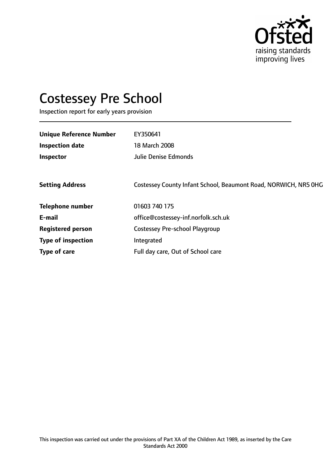

# Costessey Pre School

Inspection report for early years provision

| <b>Unique Reference Number</b> | EY350641                                                        |
|--------------------------------|-----------------------------------------------------------------|
| <b>Inspection date</b>         | 18 March 2008                                                   |
| Inspector                      | <b>Julie Denise Edmonds</b>                                     |
|                                |                                                                 |
| <b>Setting Address</b>         | Costessey County Infant School, Beaumont Road, NORWICH, NR5 OHG |
| <b>Telephone number</b>        | 01603 740 175                                                   |
| E-mail                         | office@costessey-inf.norfolk.sch.uk                             |
| <b>Registered person</b>       | <b>Costessey Pre-school Playgroup</b>                           |
| <b>Type of inspection</b>      | Integrated                                                      |
| Type of care                   | Full day care, Out of School care                               |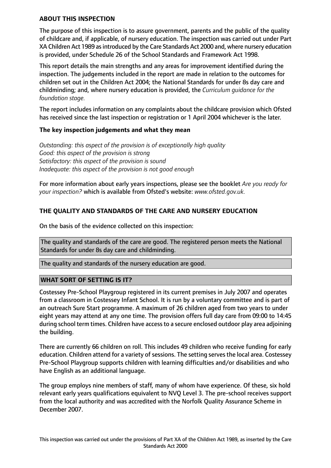#### **ABOUT THIS INSPECTION**

The purpose of this inspection is to assure government, parents and the public of the quality of childcare and, if applicable, of nursery education. The inspection was carried out under Part XA Children Act 1989 as introduced by the Care Standards Act 2000 and, where nursery education is provided, under Schedule 26 of the School Standards and Framework Act 1998.

This report details the main strengths and any areas for improvement identified during the inspection. The judgements included in the report are made in relation to the outcomes for children set out in the Children Act 2004; the National Standards for under 8s day care and childminding; and, where nursery education is provided, the *Curriculum guidance for the foundation stage.*

The report includes information on any complaints about the childcare provision which Ofsted has received since the last inspection or registration or 1 April 2004 whichever is the later.

## **The key inspection judgements and what they mean**

*Outstanding: this aspect of the provision is of exceptionally high quality Good: this aspect of the provision is strong Satisfactory: this aspect of the provision is sound Inadequate: this aspect of the provision is not good enough*

For more information about early years inspections, please see the booklet *Are you ready for your inspection?* which is available from Ofsted's website: *www.ofsted.gov.uk.*

# **THE QUALITY AND STANDARDS OF THE CARE AND NURSERY EDUCATION**

On the basis of the evidence collected on this inspection:

The quality and standards of the care are good. The registered person meets the National Standards for under 8s day care and childminding.

The quality and standards of the nursery education are good.

## **WHAT SORT OF SETTING IS IT?**

Costessey Pre-School Playgroup registered in its current premises in July 2007 and operates from a classroom in Costessey Infant School. It is run by a voluntary committee and is part of an outreach Sure Start programme. A maximum of 26 children aged from two years to under eight years may attend at any one time. The provision offers full day care from 09:00 to 14:45 during school term times. Children have accessto a secure enclosed outdoor play area adjoining the building.

There are currently 66 children on roll. This includes 49 children who receive funding for early education. Children attend for a variety of sessions. The setting serves the local area. Costessey Pre-School Playgroup supports children with learning difficulties and/or disabilities and who have English as an additional language.

The group employs nine members of staff, many of whom have experience. Of these, six hold relevant early years qualifications equivalent to NVQ Level 3. The pre-school receives support from the local authority and was accredited with the Norfolk Quality Assurance Scheme in December 2007.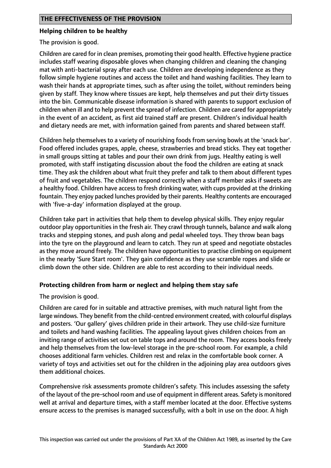## **Helping children to be healthy**

The provision is good.

Children are cared for in clean premises, promoting their good health. Effective hygiene practice includes staff wearing disposable gloves when changing children and cleaning the changing mat with anti-bacterial spray after each use. Children are developing independence as they follow simple hygiene routines and access the toilet and hand washing facilities. They learn to wash their hands at appropriate times, such as after using the toilet, without reminders being given by staff. They know where tissues are kept, help themselves and put their dirty tissues into the bin. Communicable disease information is shared with parents to support exclusion of children when ill and to help prevent the spread of infection. Children are cared for appropriately in the event of an accident, as first aid trained staff are present. Children's individual health and dietary needs are met, with information gained from parents and shared between staff.

Children help themselves to a variety of nourishing foods from serving bowls at the 'snack bar'. Food offered includes grapes, apple, cheese, strawberries and bread sticks. They eat together in small groups sitting at tables and pour their own drink from jugs. Healthy eating is well promoted, with staff instigating discussion about the food the children are eating at snack time. They ask the children about what fruit they prefer and talk to them about different types of fruit and vegetables. The children respond correctly when a staff member asks if sweets are a healthy food. Children have access to fresh drinking water, with cups provided at the drinking fountain. They enjoy packed lunches provided by their parents. Healthy contents are encouraged with 'five-a-day' information displayed at the group.

Children take part in activities that help them to develop physical skills. They enjoy regular outdoor play opportunities in the fresh air. They crawl through tunnels, balance and walk along tracks and stepping stones, and push along and pedal wheeled toys. They throw bean bags into the tyre on the playground and learn to catch. They run at speed and negotiate obstacles as they move around freely. The children have opportunities to practise climbing on equipment in the nearby 'Sure Start room'. They gain confidence as they use scramble ropes and slide or climb down the other side. Children are able to rest according to their individual needs.

## **Protecting children from harm or neglect and helping them stay safe**

The provision is good.

Children are cared for in suitable and attractive premises, with much natural light from the large windows. They benefit from the child-centred environment created, with colourful displays and posters. 'Our gallery' gives children pride in their artwork. They use child-size furniture and toilets and hand washing facilities. The appealing layout gives children choices from an inviting range of activities set out on table tops and around the room. They access books freely and help themselves from the low-level storage in the pre-school room. For example, a child chooses additional farm vehicles. Children rest and relax in the comfortable book corner. A variety of toys and activities set out for the children in the adjoining play area outdoors gives them additional choices.

Comprehensive risk assessments promote children's safety. This includes assessing the safety of the layout of the pre-school room and use of equipment in different areas. Safety is monitored well at arrival and departure times, with a staff member located at the door. Effective systems ensure access to the premises is managed successfully, with a bolt in use on the door. A high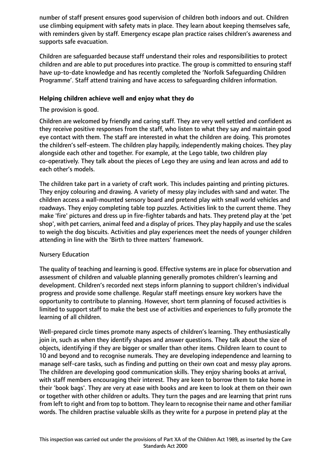number of staff present ensures good supervision of children both indoors and out. Children use climbing equipment with safety mats in place. They learn about keeping themselves safe, with reminders given by staff. Emergency escape plan practice raises children's awareness and supports safe evacuation.

Children are safeguarded because staff understand their roles and responsibilities to protect children and are able to put procedures into practice. The group is committed to ensuring staff have up-to-date knowledge and has recently completed the 'Norfolk Safeguarding Children Programme'. Staff attend training and have access to safeguarding children information.

## **Helping children achieve well and enjoy what they do**

The provision is good.

Children are welcomed by friendly and caring staff. They are very well settled and confident as they receive positive responses from the staff, who listen to what they say and maintain good eye contact with them. The staff are interested in what the children are doing. This promotes the children's self-esteem. The children play happily, independently making choices. They play alongside each other and together. For example, at the Lego table, two children play co-operatively. They talk about the pieces of Lego they are using and lean across and add to each other's models.

The children take part in a variety of craft work. This includes painting and printing pictures. They enjoy colouring and drawing. A variety of messy play includes with sand and water. The children access a wall-mounted sensory board and pretend play with small world vehicles and roadways. They enjoy completing table top puzzles. Activities link to the current theme. They make 'fire' pictures and dress up in fire-fighter tabards and hats. They pretend play at the 'pet shop', with pet carriers, animal feed and a display of prices. They play happily and use the scales to weigh the dog biscuits. Activities and play experiences meet the needs of younger children attending in line with the 'Birth to three matters' framework.

## Nursery Education

The quality of teaching and learning is good. Effective systems are in place for observation and assessment of children and valuable planning generally promotes children's learning and development. Children's recorded next steps inform planning to support children's individual progress and provide some challenge. Regular staff meetings ensure key workers have the opportunity to contribute to planning. However, short term planning of focused activities is limited to support staff to make the best use of activities and experiences to fully promote the learning of all children.

Well-prepared circle times promote many aspects of children's learning. They enthusiastically join in, such as when they identify shapes and answer questions. They talk about the size of objects, identifying if they are bigger or smaller than other items. Children learn to count to 10 and beyond and to recognise numerals. They are developing independence and learning to manage self-care tasks, such as finding and putting on their own coat and messy play aprons. The children are developing good communication skills. They enjoy sharing books at arrival, with staff members encouraging their interest. They are keen to borrow them to take home in their 'book bags'. They are very at ease with books and are keen to look at them on their own or together with other children or adults. They turn the pages and are learning that print runs from left to right and from top to bottom. They learn to recognise their name and other familiar words. The children practise valuable skills as they write for a purpose in pretend play at the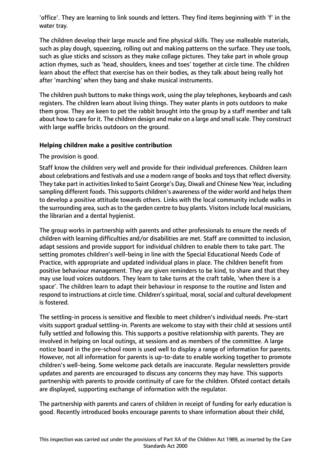'office'. They are learning to link sounds and letters. They find items beginning with 'f' in the water tray.

The children develop their large muscle and fine physical skills. They use malleable materials, such as play dough, squeezing, rolling out and making patterns on the surface. They use tools, such as glue sticks and scissors as they make collage pictures. They take part in whole group action rhymes, such as 'head, shoulders, knees and toes' together at circle time. The children learn about the effect that exercise has on their bodies, as they talk about being really hot after 'marching' when they bang and shake musical instruments.

The children push buttons to make things work, using the play telephones, keyboards and cash registers. The children learn about living things. They water plants in pots outdoors to make them grow. They are keen to pet the rabbit brought into the group by a staff member and talk about how to care for it. The children design and make on a large and small scale. They construct with large waffle bricks outdoors on the ground.

## **Helping children make a positive contribution**

## The provision is good.

Staff know the children very well and provide for their individual preferences. Children learn about celebrations and festivals and use a modern range of books and toysthat reflect diversity. They take part in activities linked to Saint George's Day, Diwali and Chinese New Year, including sampling different foods. This supports children's awareness of the wider world and helps them to develop a positive attitude towards others. Links with the local community include walks in the surrounding area, such as to the garden centre to buy plants. Visitors include local musicians, the librarian and a dental hygienist.

The group works in partnership with parents and other professionals to ensure the needs of children with learning difficulties and/or disabilities are met. Staff are committed to inclusion, adapt sessions and provide support for individual children to enable them to take part. The setting promotes children's well-being in line with the Special Educational Needs Code of Practice, with appropriate and updated individual plans in place. The children benefit from positive behaviour management. They are given reminders to be kind, to share and that they may use loud voices outdoors. They learn to take turns at the craft table, 'when there is a space'. The children learn to adapt their behaviour in response to the routine and listen and respond to instructions at circle time. Children's spiritual, moral, social and cultural development is fostered.

The settling-in process is sensitive and flexible to meet children's individual needs. Pre-start visits support gradual settling-in. Parents are welcome to stay with their child at sessions until fully settled and following this. This supports a positive relationship with parents. They are involved in helping on local outings, at sessions and as members of the committee. A large notice board in the pre-school room is used well to display a range of information for parents. However, not all information for parents is up-to-date to enable working together to promote children's well-being. Some welcome pack details are inaccurate. Regular newsletters provide updates and parents are encouraged to discuss any concerns they may have. This supports partnership with parents to provide continuity of care for the children. Ofsted contact details are displayed, supporting exchange of information with the regulator.

The partnership with parents and carers of children in receipt of funding for early education is good. Recently introduced books encourage parents to share information about their child,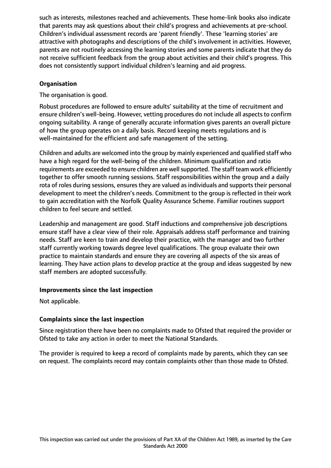such as interests, milestones reached and achievements. These home-link books also indicate that parents may ask questions about their child's progress and achievements at pre-school. Children's individual assessment records are 'parent friendly'. These 'learning stories' are attractive with photographs and descriptions of the child's involvement in activities. However, parents are not routinely accessing the learning stories and some parents indicate that they do not receive sufficient feedback from the group about activities and their child's progress. This does not consistently support individual children's learning and aid progress.

# **Organisation**

The organisation is good.

Robust procedures are followed to ensure adults' suitability at the time of recruitment and ensure children's well-being. However, vetting procedures do not include all aspects to confirm ongoing suitability. A range of generally accurate information gives parents an overall picture of how the group operates on a daily basis. Record keeping meets regulations and is well-maintained for the efficient and safe management of the setting.

Children and adults are welcomed into the group by mainly experienced and qualified staff who have a high regard for the well-being of the children. Minimum qualification and ratio requirements are exceeded to ensure children are well supported. The staff team work efficiently together to offer smooth running sessions. Staff responsibilities within the group and a daily rota of roles during sessions, ensures they are valued as individuals and supports their personal development to meet the children's needs. Commitment to the group is reflected in their work to gain accreditation with the Norfolk Quality Assurance Scheme. Familiar routines support children to feel secure and settled.

Leadership and management are good. Staff inductions and comprehensive job descriptions ensure staff have a clear view of their role. Appraisals address staff performance and training needs. Staff are keen to train and develop their practice, with the manager and two further staff currently working towards degree level qualifications. The group evaluate their own practice to maintain standards and ensure they are covering all aspects of the six areas of learning. They have action plans to develop practice at the group and ideas suggested by new staff members are adopted successfully.

## **Improvements since the last inspection**

Not applicable.

## **Complaints since the last inspection**

Since registration there have been no complaints made to Ofsted that required the provider or Ofsted to take any action in order to meet the National Standards.

The provider is required to keep a record of complaints made by parents, which they can see on request. The complaints record may contain complaints other than those made to Ofsted.